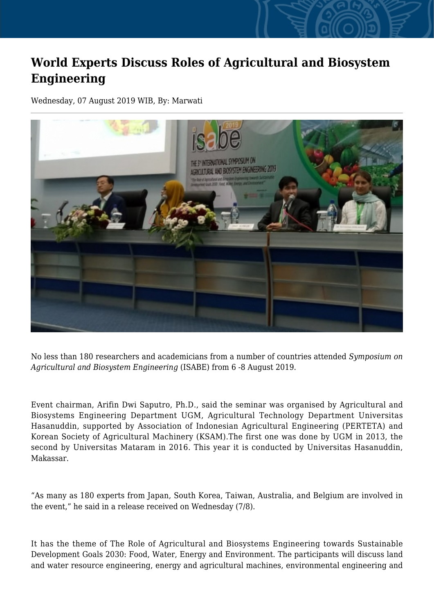## **World Experts Discuss Roles of Agricultural and Biosystem Engineering**

Wednesday, 07 August 2019 WIB, By: Marwati



No less than 180 researchers and academicians from a number of countries attended *Symposium on Agricultural and Biosystem Engineering* (ISABE) from 6 -8 August 2019.

Event chairman, Arifin Dwi Saputro, Ph.D., said the seminar was organised by Agricultural and Biosystems Engineering Department UGM, Agricultural Technology Department Universitas Hasanuddin, supported by Association of Indonesian Agricultural Engineering (PERTETA) and Korean Society of Agricultural Machinery (KSAM).The first one was done by UGM in 2013, the second by Universitas Mataram in 2016. This year it is conducted by Universitas Hasanuddin, Makassar.

"As many as 180 experts from Japan, South Korea, Taiwan, Australia, and Belgium are involved in the event," he said in a release received on Wednesday (7/8).

It has the theme of The Role of Agricultural and Biosystems Engineering towards Sustainable Development Goals 2030: Food, Water, Energy and Environment. The participants will discuss land and water resource engineering, energy and agricultural machines, environmental engineering and